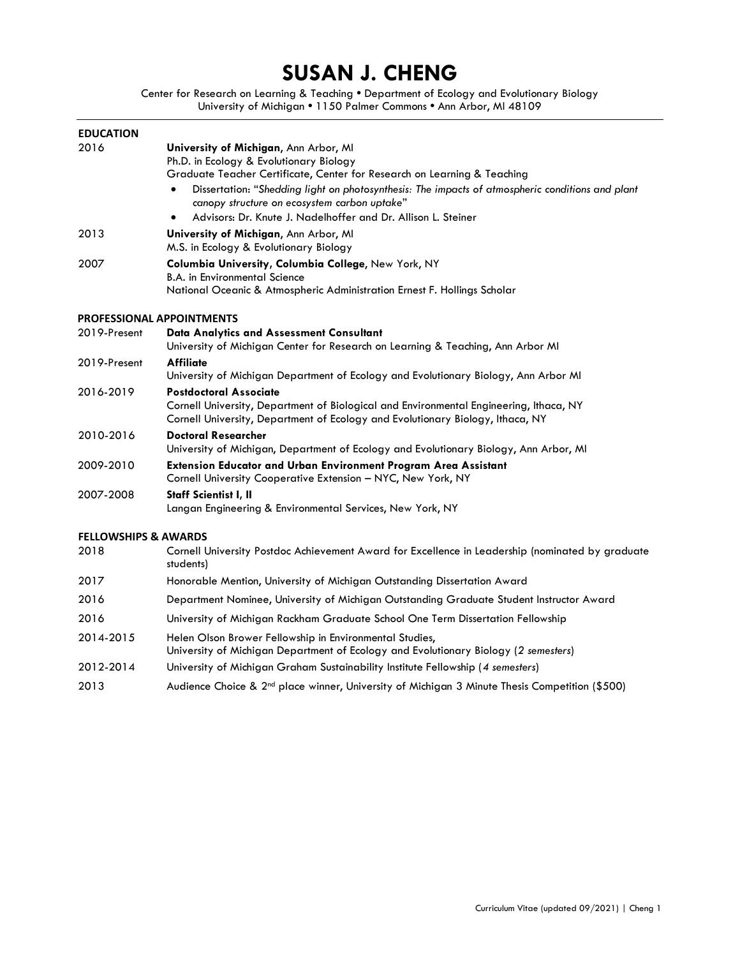# **SUSAN J. CHENG**

Center for Research on Learning & Teaching **•** Department of Ecology and Evolutionary Biology University of Michigan **•** 1150 Palmer Commons **•** Ann Arbor, MI 48109

| <b>EDUCATION</b>                 |                                                                                                                                                                                                                                                                                                                                                                                   |
|----------------------------------|-----------------------------------------------------------------------------------------------------------------------------------------------------------------------------------------------------------------------------------------------------------------------------------------------------------------------------------------------------------------------------------|
| 2016                             | University of Michigan, Ann Arbor, MI<br>Ph.D. in Ecology & Evolutionary Biology<br>Graduate Teacher Certificate, Center for Research on Learning & Teaching<br>Dissertation: "Shedding light on photosynthesis: The impacts of atmospheric conditions and plant<br>canopy structure on ecosystem carbon uptake"<br>Advisors: Dr. Knute J. Nadelhoffer and Dr. Allison L. Steiner |
| 2013                             | University of Michigan, Ann Arbor, MI<br>M.S. in Ecology & Evolutionary Biology                                                                                                                                                                                                                                                                                                   |
| 2007                             | Columbia University, Columbia College, New York, NY<br><b>B.A. in Environmental Science</b><br>National Oceanic & Atmospheric Administration Ernest F. Hollings Scholar                                                                                                                                                                                                           |
| <b>PROFESSIONAL APPOINTMENTS</b> |                                                                                                                                                                                                                                                                                                                                                                                   |
| 2019-Present                     | <b>Data Analytics and Assessment Consultant</b><br>University of Michigan Center for Research on Learning & Teaching, Ann Arbor MI                                                                                                                                                                                                                                                |
| 2019-Present                     | <b>Affiliate</b><br>University of Michigan Department of Ecology and Evolutionary Biology, Ann Arbor MI                                                                                                                                                                                                                                                                           |
| 2016-2019                        | <b>Postdoctoral Associate</b><br>Cornell University, Department of Biological and Environmental Engineering, Ithaca, NY<br>Cornell University, Department of Ecology and Evolutionary Biology, Ithaca, NY                                                                                                                                                                         |
| 2010-2016                        | <b>Doctoral Researcher</b><br>University of Michigan, Department of Ecology and Evolutionary Biology, Ann Arbor, MI                                                                                                                                                                                                                                                               |
| 2009-2010                        | Extension Educator and Urban Environment Program Area Assistant<br>Cornell University Cooperative Extension - NYC, New York, NY                                                                                                                                                                                                                                                   |
| 2007-2008                        | Staff Scientist I, II<br>Langan Engineering & Environmental Services, New York, NY                                                                                                                                                                                                                                                                                                |
| <b>FELLOWSHIPS &amp; AWARDS</b>  |                                                                                                                                                                                                                                                                                                                                                                                   |
| 2018                             | Cornell University Postdoc Achievement Award for Excellence in Leadership (nominated by graduate<br>students)                                                                                                                                                                                                                                                                     |
| 2017                             | Honorable Mention, University of Michigan Outstanding Dissertation Award                                                                                                                                                                                                                                                                                                          |
| 2016                             | Department Nominee, University of Michigan Outstanding Graduate Student Instructor Award                                                                                                                                                                                                                                                                                          |
| 2016                             | University of Michigan Rackham Graduate School One Term Dissertation Fellowship                                                                                                                                                                                                                                                                                                   |
| 2014-2015                        | Helen Olson Brower Fellowship in Environmental Studies,<br>University of Michigan Department of Ecology and Evolutionary Biology (2 semesters)                                                                                                                                                                                                                                    |
| 2012-2014                        | University of Michigan Graham Sustainability Institute Fellowship (4 semesters)                                                                                                                                                                                                                                                                                                   |
| 2013                             | Audience Choice & 2 <sup>nd</sup> place winner, University of Michigan 3 Minute Thesis Competition (\$500)                                                                                                                                                                                                                                                                        |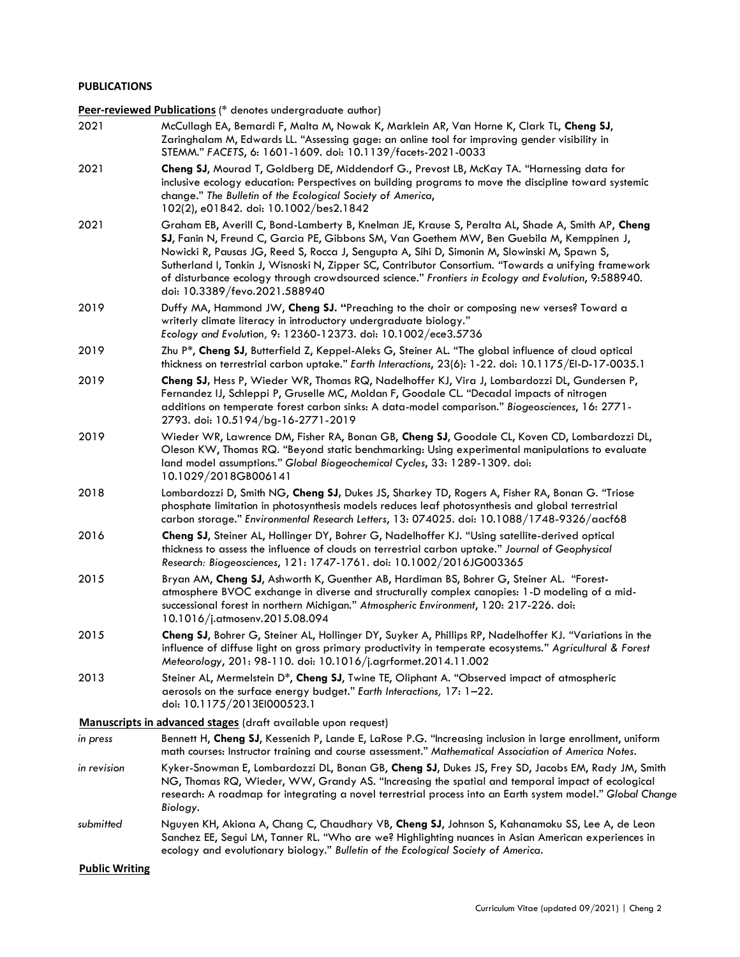## **PUBLICATIONS**

**Peer-reviewed Publications** (\* denotes undergraduate author)

- 2021 McCullagh EA, Bernardi F, Malta M, Nowak K, Marklein AR, Van Horne K, Clark TL, **Cheng SJ**, Zaringhalam M, Edwards LL. "Assessing gage: an online tool for improving gender visibility in STEMM." *FACETS*, 6: 1601-1609. doi: [10.1139/facets-2021-0033](https://doi.org/10.1139/facets-2021-0033)
- 2021 **Cheng SJ**, Mourad T, Goldberg DE, Middendorf G., Prevost LB, McKay TA. "Harnessing data for inclusive ecology education: Perspectives on building programs to move the discipline toward systemic change." *The Bulletin of the Ecological Society of America*, 102(2), e01842. doi: 10.1002/bes2.1842
- 2021 Graham EB, Averill C, Bond-Lamberty B, Knelman JE, Krause S, Peralta AL, Shade A, Smith AP, **Cheng SJ**, Fanin N, Freund C, Garcia PE, Gibbons SM, Van Goethem MW, Ben Guebila M, Kemppinen J, Nowicki R, Pausas JG, Reed S, Rocca J, Sengupta A, Sihi D, Simonin M, Slowinski M, Spawn S, Sutherland I, Tonkin J, Wisnoski N, Zipper SC, Contributor Consortium. "Towards a unifying framework of disturbance ecology through crowdsourced science." *Frontiers in Ecology and Evolution*, 9:588940. doi: 10.3389/fevo.2021.588940
- 2019 Duffy MA, Hammond JW, **Cheng SJ. "**Preaching to the choir or composing new verses? Toward a writerly climate literacy in introductory undergraduate biology." *Ecology and Evolu*tion*,* 9: 12360-12373. doi: [10.1002/ece3.5736](https://doi.org/10.1002/ece3.5736)
- 2019 Zhu P\*, **Cheng SJ**, Butterfield Z, Keppel-Aleks G, Steiner AL. "The global influence of cloud optical thickness on terrestrial carbon uptake." *Earth Interactions*, 23(6): 1-22. doi: [10.1175/EI-D-17-0035.1](https://doi.org/10.1175/EI-D-17-0035.1)
- 2019 **Cheng SJ,** Hess P, Wieder WR, Thomas RQ, Nadelhoffer KJ, Vira J, Lombardozzi DL, Gundersen P, Fernandez IJ, Schleppi P, Gruselle MC, Moldan F, Goodale CL. "Decadal impacts of nitrogen additions on temperate forest carbon sinks: A data-model comparison." *Biogeosciences*, 16: 2771- 2793*.* doi: 10.5194/bg-16-2771-2019
- 2019 Wieder WR, Lawrence DM, Fisher RA, Bonan GB, **Cheng SJ**, Goodale CL, Koven CD, Lombardozzi DL, Oleson KW, Thomas RQ. "Beyond static benchmarking: Using experimental manipulations to evaluate land model assumptions." *Global Biogeochemical Cycles*, 33: 1289-1309. doi: [10.1029/2018GB006141](https://doi.org/10.1029/2018GB006141)
- 2018 Lombardozzi D, Smith NG, **Cheng SJ,** Dukes JS, Sharkey TD, Rogers A, Fisher RA, Bonan G. "Triose phosphate limitation in photosynthesis models reduces leaf photosynthesis and global terrestrial carbon storage." *Environmental Research Letters*, 13: 074025. doi: 10.1088/1748-9326/aacf68
- 2016 **Cheng SJ**, Steiner AL, Hollinger DY, Bohrer G, Nadelhoffer KJ. "Using satellite-derived optical thickness to assess the influence of clouds on terrestrial carbon uptake." *Journal of Geophysical Research: Biogeosciences*, 121: 1747-1761. doi: [10.1002/2016JG003365](http://www.onlinelibrary.wiley.com/doi/10.1002/2016JG003365/abstract)
- 2015 Bryan AM, **Cheng SJ**, Ashworth K, Guenther AB, Hardiman BS, Bohrer G, Steiner AL. "Forestatmosphere BVOC exchange in diverse and structurally complex canopies: 1-D modeling of a midsuccessional forest in northern Michigan." *Atmospheric Environment*, 120: 217-226. doi: [10.1016/j.atmosenv.2015.08.094](http://dx.doi.org/10.1016/j.atmosenv.2015.08.094)
- 2015 **Cheng SJ**, Bohrer G, Steiner AL, Hollinger DY, Suyker A, Phillips RP, Nadelhoffer KJ. "Variations in the influence of diffuse light on gross primary productivity in temperate ecosystems." *Agricultural & Forest Meteorology*, 201: 98-110. doi[: 10.1016/j.agrformet.2014.11.002](http://dx.doi.org/10.1016/j.agrformet.2014.11.002)
- 2013 Steiner AL, Mermelstein D\*, **Cheng SJ**, Twine TE, Oliphant A. "Observed impact of atmospheric aerosols on the surface energy budget." *Earth Interactions,* 17: 1–22. doi: [10.1175/2013EI000523.1](http://dx.doi.org/10.1175/2013EI000523.1)

**Manuscripts in advanced stages** (draft available upon request)

- *in press* Bennett H, **Cheng SJ**, Kessenich P, Lande E, LaRose P.G. "Increasing inclusion in large enrollment, uniform math courses: Instructor training and course assessment." *Mathematical Association of America Notes*.
- *in revision* Kyker-Snowman E, Lombardozzi DL, Bonan GB, **Cheng SJ**, Dukes JS, Frey SD, Jacobs EM, Rady JM, Smith NG, Thomas RQ, Wieder, WW, Grandy AS. "Increasing the spatial and temporal impact of ecological research: A roadmap for integrating a novel terrestrial process into an Earth system model." *Global Change Biology*.
- *submitted* Nguyen KH, Akiona A, Chang C, Chaudhary VB, **Cheng SJ**, Johnson S, Kahanamoku SS, Lee A, de Leon Sanchez EE, Segui LM, Tanner RL. "Who are we? Highlighting nuances in Asian American experiences in ecology and evolutionary biology." *Bulletin of the Ecological Society of America*.

**Public Writing**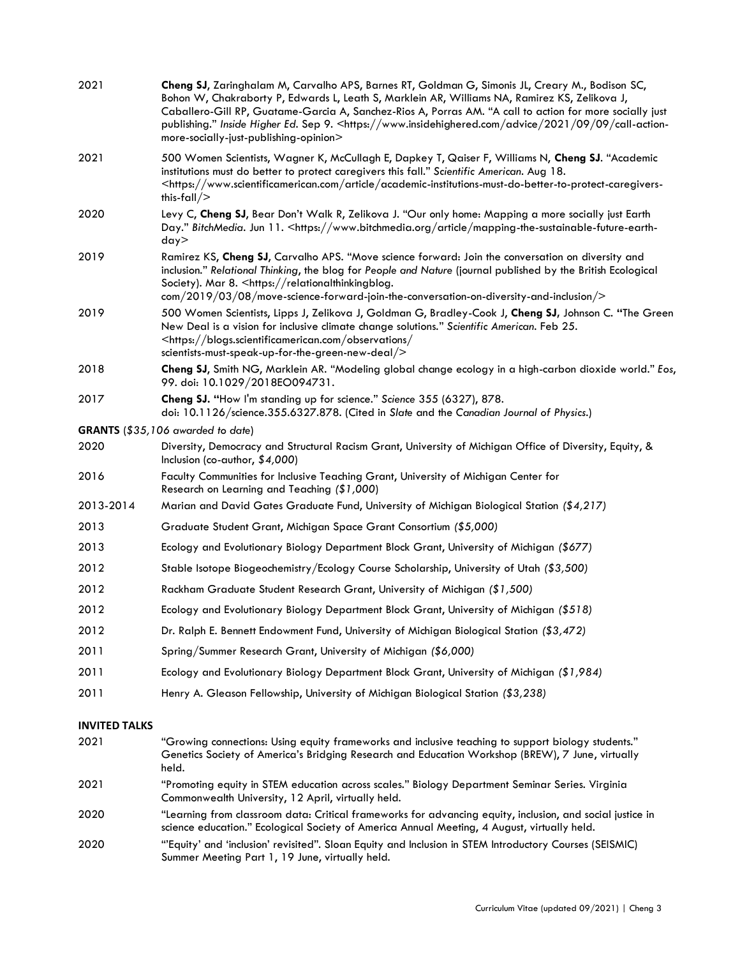| 2021                 | Cheng SJ, Zaringhalam M, Carvalho APS, Barnes RT, Goldman G, Simonis JL, Creary M., Bodison SC,<br>Bohon W, Chakraborty P, Edwards L, Leath S, Marklein AR, Williams NA, Ramirez KS, Zelikova J,<br>Caballero-Gill RP, Guatame-Garcia A, Sanchez-Rios A, Porras AM. "A call to action for more socially just<br>publishing." Inside Higher Ed. Sep 9. <https: 09="" 2021="" advice="" call-action-<br="" www.insidehighered.com="">more-socially-just-publishing-opinion&gt;</https:> |
|----------------------|---------------------------------------------------------------------------------------------------------------------------------------------------------------------------------------------------------------------------------------------------------------------------------------------------------------------------------------------------------------------------------------------------------------------------------------------------------------------------------------|
| 2021                 | 500 Women Scientists, Wagner K, McCullagh E, Dapkey T, Qaiser F, Williams N, Cheng SJ. "Academic<br>institutions must do better to protect caregivers this fall." Scientific American. Aug 18.<br><https: academic-institutions-must-do-better-to-protect-caregivers-<br="" article="" www.scientificamerican.com="">this-fall<math>/</math></https:>                                                                                                                                 |
| 2020                 | Levy C, Cheng SJ, Bear Don't Walk R, Zelikova J. "Our only home: Mapping a more socially just Earth<br>Day." BitchMedia. Jun 11. <https: article="" mapping-the-sustainable-future-earth-<br="" www.bitchmedia.org="">day&gt;</https:>                                                                                                                                                                                                                                                |
| 2019                 | Ramirez KS, Cheng SJ, Carvalho APS. "Move science forward: Join the conversation on diversity and<br>inclusion." Relational Thinking, the blog for People and Nature (journal published by the British Ecological<br>Society). Mar 8. < https://relationalthinkingblog.<br>com/2019/03/08/move-science-forward-join-the-conversation-on-diversity-and-inclusion/>                                                                                                                     |
| 2019                 | 500 Women Scientists, Lipps J, Zelikova J, Goldman G, Bradley-Cook J, Cheng SJ, Johnson C. "The Green<br>New Deal is a vision for inclusive climate change solutions." Scientific American. Feb 25.<br><https: <br="" blogs.scientificamerican.com="" observations="">scientists-must-speak-up-for-the-green-new-deal/&gt;</https:>                                                                                                                                                   |
| 2018                 | Cheng SJ, Smith NG, Marklein AR. "Modeling global change ecology in a high-carbon dioxide world." Eos,<br>99. doi: 10.1029/2018EO094731.                                                                                                                                                                                                                                                                                                                                              |
| 2017                 | Cheng SJ. "How I'm standing up for science." Science 355 (6327), 878.<br>doi: 10.1126/science.355.6327.878. (Cited in Slate and the Canadian Journal of Physics.)                                                                                                                                                                                                                                                                                                                     |
|                      | <b>GRANTS</b> (\$35,106 awarded to date)                                                                                                                                                                                                                                                                                                                                                                                                                                              |
| 2020                 | Diversity, Democracy and Structural Racism Grant, University of Michigan Office of Diversity, Equity, &<br>Inclusion (co-author, \$4,000)                                                                                                                                                                                                                                                                                                                                             |
| 2016                 | Faculty Communities for Inclusive Teaching Grant, University of Michigan Center for<br>Research on Learning and Teaching (\$1,000)                                                                                                                                                                                                                                                                                                                                                    |
| 2013-2014            | Marian and David Gates Graduate Fund, University of Michigan Biological Station (\$4,217)                                                                                                                                                                                                                                                                                                                                                                                             |
| 2013                 | Graduate Student Grant, Michigan Space Grant Consortium (\$5,000)                                                                                                                                                                                                                                                                                                                                                                                                                     |
| 2013                 | Ecology and Evolutionary Biology Department Block Grant, University of Michigan (\$677)                                                                                                                                                                                                                                                                                                                                                                                               |
| 2012                 | Stable Isotope Biogeochemistry/Ecology Course Scholarship, University of Utah (\$3,500)                                                                                                                                                                                                                                                                                                                                                                                               |
| 2012                 | Rackham Graduate Student Research Grant, University of Michigan (\$1,500)                                                                                                                                                                                                                                                                                                                                                                                                             |
| 2012                 | Ecology and Evolutionary Biology Department Block Grant, University of Michigan (\$518)                                                                                                                                                                                                                                                                                                                                                                                               |
| 2012                 | Dr. Ralph E. Bennett Endowment Fund, University of Michigan Biological Station (\$3,472)                                                                                                                                                                                                                                                                                                                                                                                              |
| 2011                 | Spring/Summer Research Grant, University of Michigan (\$6,000)                                                                                                                                                                                                                                                                                                                                                                                                                        |
| 2011                 | Ecology and Evolutionary Biology Department Block Grant, University of Michigan (\$1,984)                                                                                                                                                                                                                                                                                                                                                                                             |
| 2011                 | Henry A. Gleason Fellowship, University of Michigan Biological Station (\$3,238)                                                                                                                                                                                                                                                                                                                                                                                                      |
| <b>INVITED TALKS</b> |                                                                                                                                                                                                                                                                                                                                                                                                                                                                                       |
| 2021                 | "Growing connections: Using equity frameworks and inclusive teaching to support biology students."<br>Genetics Society of America's Bridging Research and Education Workshop (BREW), 7 June, virtually<br>held.                                                                                                                                                                                                                                                                       |
| 2021                 | "Promoting equity in STEM education across scales." Biology Department Seminar Series. Virginia<br>Commonwealth University, 12 April, virtually held.                                                                                                                                                                                                                                                                                                                                 |
| 2020                 | "Learning from classroom data: Critical frameworks for advancing equity, inclusion, and social justice in                                                                                                                                                                                                                                                                                                                                                                             |

science education." Ecological Society of America Annual Meeting, 4 August, virtually held. 2020 "'Equity' and 'inclusion' revisited". Sloan Equity and Inclusion in STEM Introductory Courses (SEISMIC) Summer Meeting Part 1, 19 June, virtually held.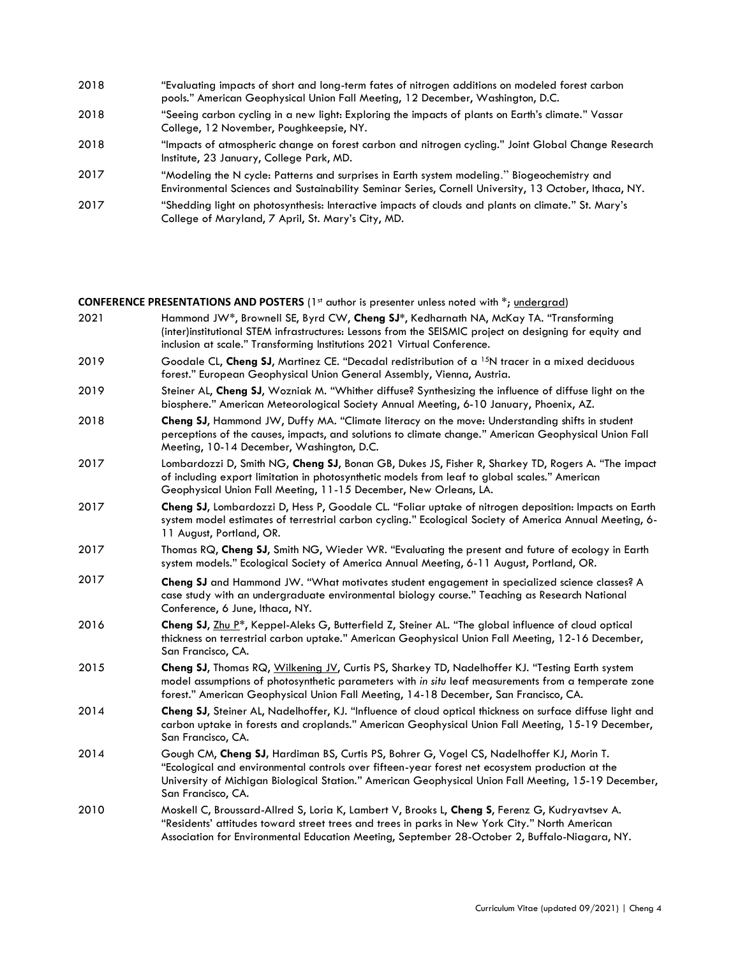- 2018 "Evaluating impacts of short and long-term fates of nitrogen additions on modeled forest carbon pools." American Geophysical Union Fall Meeting, 12 December, Washington, D.C.
- 2018 "Seeing carbon cycling in a new light: Exploring the impacts of plants on Earth's climate." Vassar College, 12 November, Poughkeepsie, NY.
- 2018 "Impacts of atmospheric change on forest carbon and nitrogen cycling." Joint Global Change Research Institute, 23 January, College Park, MD.
- 2017 "Modeling the N cycle: Patterns and surprises in Earth system modeling." Biogeochemistry and Environmental Sciences and Sustainability Seminar Series, Cornell University, 13 October, Ithaca, NY.
- 2017 "Shedding light on photosynthesis: Interactive impacts of clouds and plants on climate." St. Mary's College of Maryland, 7 April, St. Mary's City, MD.

**CONFERENCE PRESENTATIONS AND POSTERS** (1<sup>st</sup> author is presenter unless noted with \*; undergrad)

- 2021 Hammond JW\*, Brownell SE, Byrd CW, **Cheng SJ\***, Kedharnath NA, McKay TA. "Transforming (inter)institutional STEM infrastructures: Lessons from the SEISMIC project on designing for equity and inclusion at scale." Transforming Institutions 2021 Virtual Conference.
- 2019 Goodale CL, **Cheng SJ**, Martinez CE. "Decadal redistribution of a 15N tracer in a mixed deciduous forest." European Geophysical Union General Assembly, Vienna, Austria.
- 2019 Steiner AL, **Cheng SJ**, Wozniak M. "Whither diffuse? Synthesizing the influence of diffuse light on the biosphere." American Meteorological Society Annual Meeting, 6-10 January, Phoenix, AZ.
- 2018 **Cheng SJ**, Hammond JW, Duffy MA. "Climate literacy on the move: Understanding shifts in student perceptions of the causes, impacts, and solutions to climate change." American Geophysical Union Fall Meeting, 10-14 December, Washington, D.C.
- 2017 Lombardozzi D, Smith NG, **Cheng SJ**, Bonan GB, Dukes JS, Fisher R, Sharkey TD, Rogers A. "The impact of including export limitation in photosynthetic models from leaf to global scales." American Geophysical Union Fall Meeting, 11-15 December, New Orleans, LA.
- 2017 **Cheng SJ**, Lombardozzi D, Hess P, Goodale CL. "Foliar uptake of nitrogen deposition: Impacts on Earth system model estimates of terrestrial carbon cycling." Ecological Society of America Annual Meeting, 6- 11 August, Portland, OR.
- 2017 Thomas RQ, **Cheng SJ**, Smith NG, Wieder WR. "Evaluating the present and future of ecology in Earth system models." Ecological Society of America Annual Meeting, 6-11 August, Portland, OR.
- 2017 **Cheng SJ** and Hammond JW. "What motivates student engagement in specialized science classes? A case study with an undergraduate environmental biology course." Teaching as Research National Conference, 6 June, Ithaca, NY.
- 2016 **Cheng SJ**, Zhu P\*, Keppel-Aleks G, Butterfield Z, Steiner AL. "The global influence of cloud optical thickness on terrestrial carbon uptake." American Geophysical Union Fall Meeting, 12-16 December, San Francisco, CA.
- 2015 **Cheng SJ**, Thomas RQ, Wilkening JV, Curtis PS, Sharkey TD, Nadelhoffer KJ. "Testing Earth system model assumptions of photosynthetic parameters with *in situ* leaf measurements from a temperate zone forest." American Geophysical Union Fall Meeting, 14-18 December, San Francisco, CA.
- 2014 **Cheng SJ**, Steiner AL, Nadelhoffer, KJ. "Influence of cloud optical thickness on surface diffuse light and carbon uptake in forests and croplands." American Geophysical Union Fall Meeting, 15-19 December, San Francisco, CA.
- 2014 Gough CM, **Cheng SJ,** Hardiman BS, Curtis PS, Bohrer G, Vogel CS, Nadelhoffer KJ, Morin T. "Ecological and environmental controls over fifteen-year forest net ecosystem production at the University of Michigan Biological Station." American Geophysical Union Fall Meeting, 15-19 December, San Francisco, CA.
- 2010 Moskell C, Broussard-Allred S, Loria K, Lambert V, Brooks L, **Cheng S**, Ferenz G, Kudryavtsev A. "Residents' attitudes toward street trees and trees in parks in New York City." North American Association for Environmental Education Meeting, September 28-October 2, Buffalo-Niagara, NY.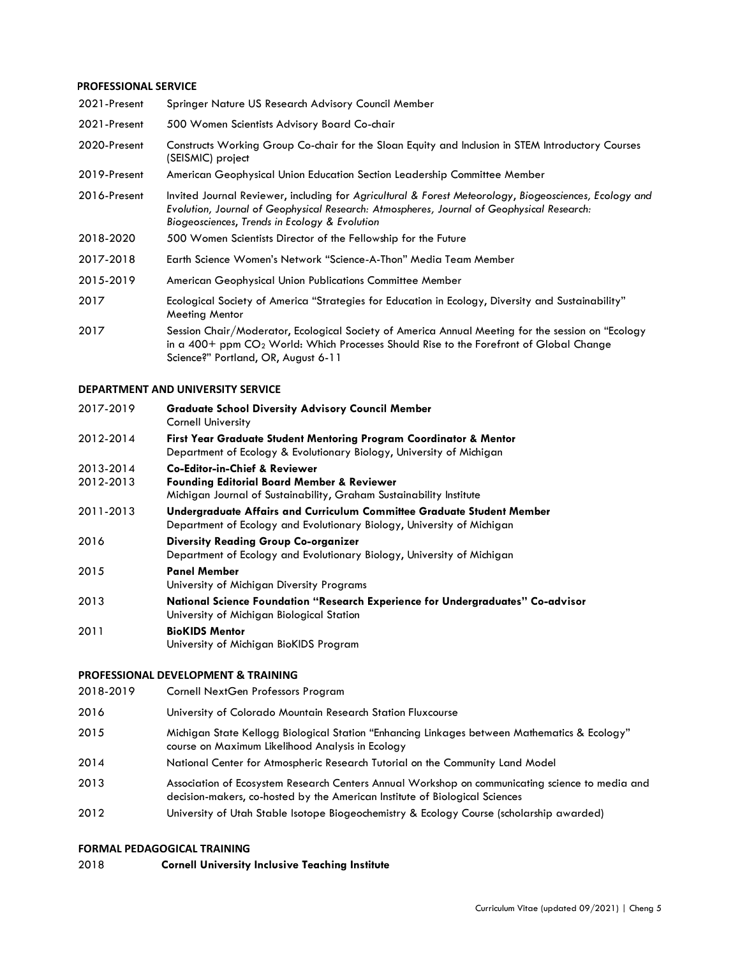## **PROFESSIONAL SERVICE**

| 2021-Present | Springer Nature US Research Advisory Council Member                                                                                                                                                                                                  |
|--------------|------------------------------------------------------------------------------------------------------------------------------------------------------------------------------------------------------------------------------------------------------|
| 2021-Present | 500 Women Scientists Advisory Board Co-chair                                                                                                                                                                                                         |
| 2020-Present | Constructs Working Group Co-chair for the Sloan Equity and Inclusion in STEM Introductory Courses<br>(SEISMIC) project                                                                                                                               |
| 2019-Present | American Geophysical Union Education Section Leadership Committee Member                                                                                                                                                                             |
| 2016-Present | Invited Journal Reviewer, including for Agricultural & Forest Meteorology, Biogeosciences, Ecology and<br>Evolution, Journal of Geophysical Research: Atmospheres, Journal of Geophysical Research:<br>Biogeosciences, Trends in Ecology & Evolution |
| 2018-2020    | 500 Women Scientists Director of the Fellowship for the Future                                                                                                                                                                                       |
| 2017-2018    | Earth Science Women's Network "Science-A-Thon" Media Team Member                                                                                                                                                                                     |
| 2015-2019    | American Geophysical Union Publications Committee Member                                                                                                                                                                                             |
| 2017         | Ecological Society of America "Strategies for Education in Ecology, Diversity and Sustainability"<br><b>Meeting Mentor</b>                                                                                                                           |
| 2017         | Session Chair/Moderator, Ecological Society of America Annual Meeting for the session on "Ecology<br>in a $400+$ ppm $CO2$ World: Which Processes Should Rise to the Forefront of Global Change<br>Science?" Portland, OR, August 6-11               |

#### **DEPARTMENT AND UNIVERSITY SERVICE**

| 2017-2019              | <b>Graduate School Diversity Advisory Council Member</b><br>Cornell University                                                                                           |
|------------------------|--------------------------------------------------------------------------------------------------------------------------------------------------------------------------|
| 2012-2014              | First Year Graduate Student Mentoring Program Coordinator & Mentor<br>Department of Ecology & Evolutionary Biology, University of Michigan                               |
| 2013-2014<br>2012-2013 | <b>Co-Editor-in-Chief &amp; Reviewer</b><br><b>Founding Editorial Board Member &amp; Reviewer</b><br>Michigan Journal of Sustainability, Graham Sustainability Institute |
| 2011-2013              | Undergraduate Affairs and Curriculum Committee Graduate Student Member<br>Department of Ecology and Evolutionary Biology, University of Michigan                         |
| 2016                   | <b>Diversity Reading Group Co-organizer</b><br>Department of Ecology and Evolutionary Biology, University of Michigan                                                    |
| 2015                   | <b>Panel Member</b><br>University of Michigan Diversity Programs                                                                                                         |
| 2013                   | National Science Foundation "Research Experience for Undergraduates" Co-advisor<br>University of Michigan Biological Station                                             |
| 2011                   | <b>BioKIDS Mentor</b><br>University of Michigan BioKIDS Program                                                                                                          |

## **PROFESSIONAL DEVELOPMENT & TRAINING**

| 2018-2019 | Cornell NextGen Professors Program                                                                                                                                             |
|-----------|--------------------------------------------------------------------------------------------------------------------------------------------------------------------------------|
| 2016      | University of Colorado Mountain Research Station Fluxcourse                                                                                                                    |
| 2015      | Michigan State Kellogg Biological Station "Enhancing Linkages between Mathematics & Ecology"<br>course on Maximum Likelihood Analysis in Ecology                               |
| 2014      | National Center for Atmospheric Research Tutorial on the Community Land Model                                                                                                  |
| 2013      | Association of Ecosystem Research Centers Annual Workshop on communicating science to media and<br>decision-makers, co-hosted by the American Institute of Biological Sciences |
| 2012      | University of Utah Stable Isotope Biogeochemistry & Ecology Course (scholarship awarded)                                                                                       |
|           |                                                                                                                                                                                |

## **FORMAL PEDAGOGICAL TRAINING**

2018 **Cornell University Inclusive Teaching Institute**